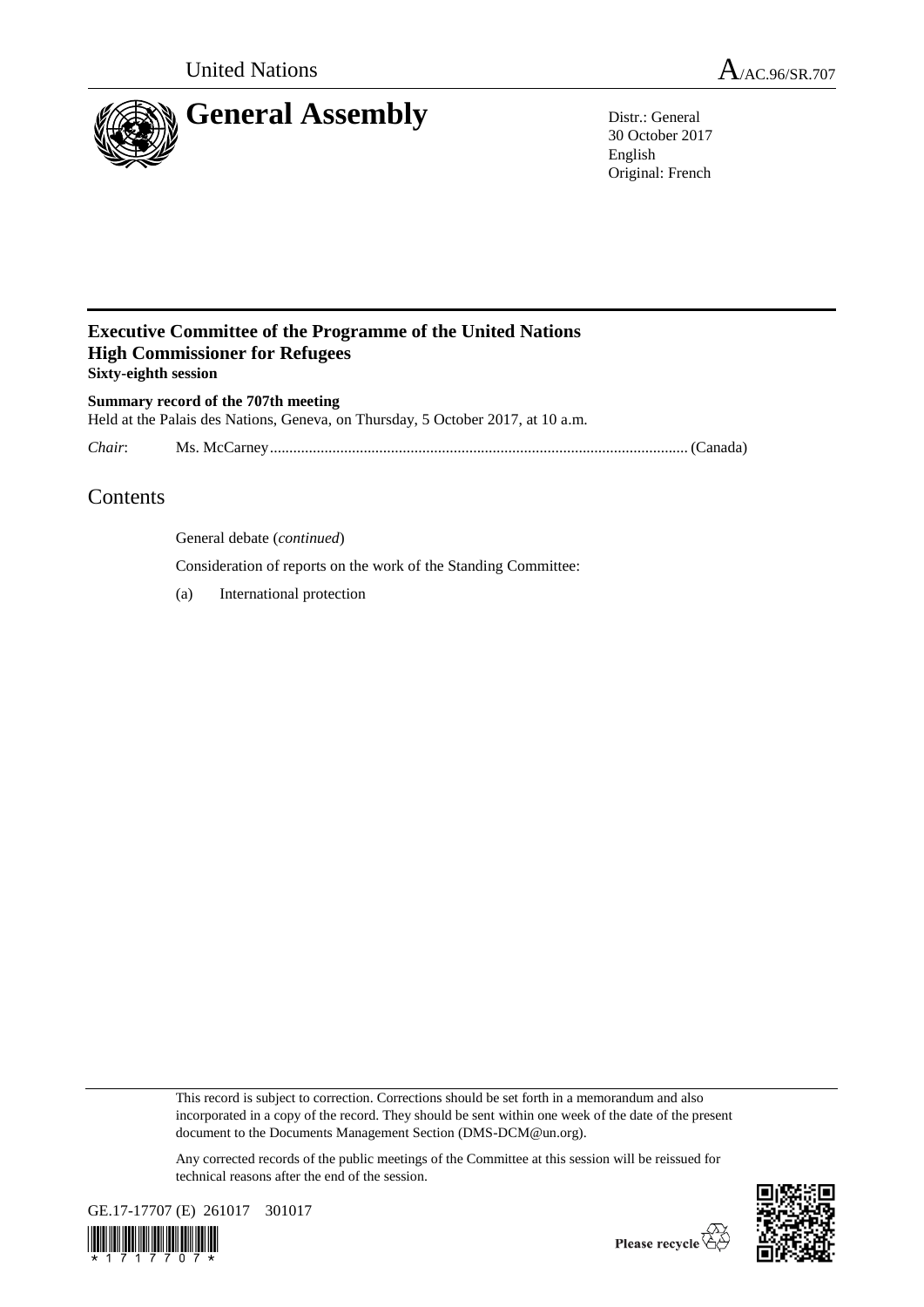



30 October 2017 English Original: French

## **Executive Committee of the Programme of the United Nations High Commissioner for Refugees Sixty-eighth session**

**Summary record of the 707th meeting** Held at the Palais des Nations, Geneva, on Thursday, 5 October 2017, at 10 a.m.

*Chair*: Ms. McCarney........................................................................................................... (Canada)

# Contents

General debate (*continued*)

Consideration of reports on the work of the Standing Committee:

(a) International protection

This record is subject to correction. Corrections should be set forth in a memorandum and also incorporated in a copy of the record. They should be sent within one week of the date of the present document to the Documents Management Section (DMS-DCM@un.org).

Any corrected records of the public meetings of the Committee at this session will be reissued for technical reasons after the end of the session.



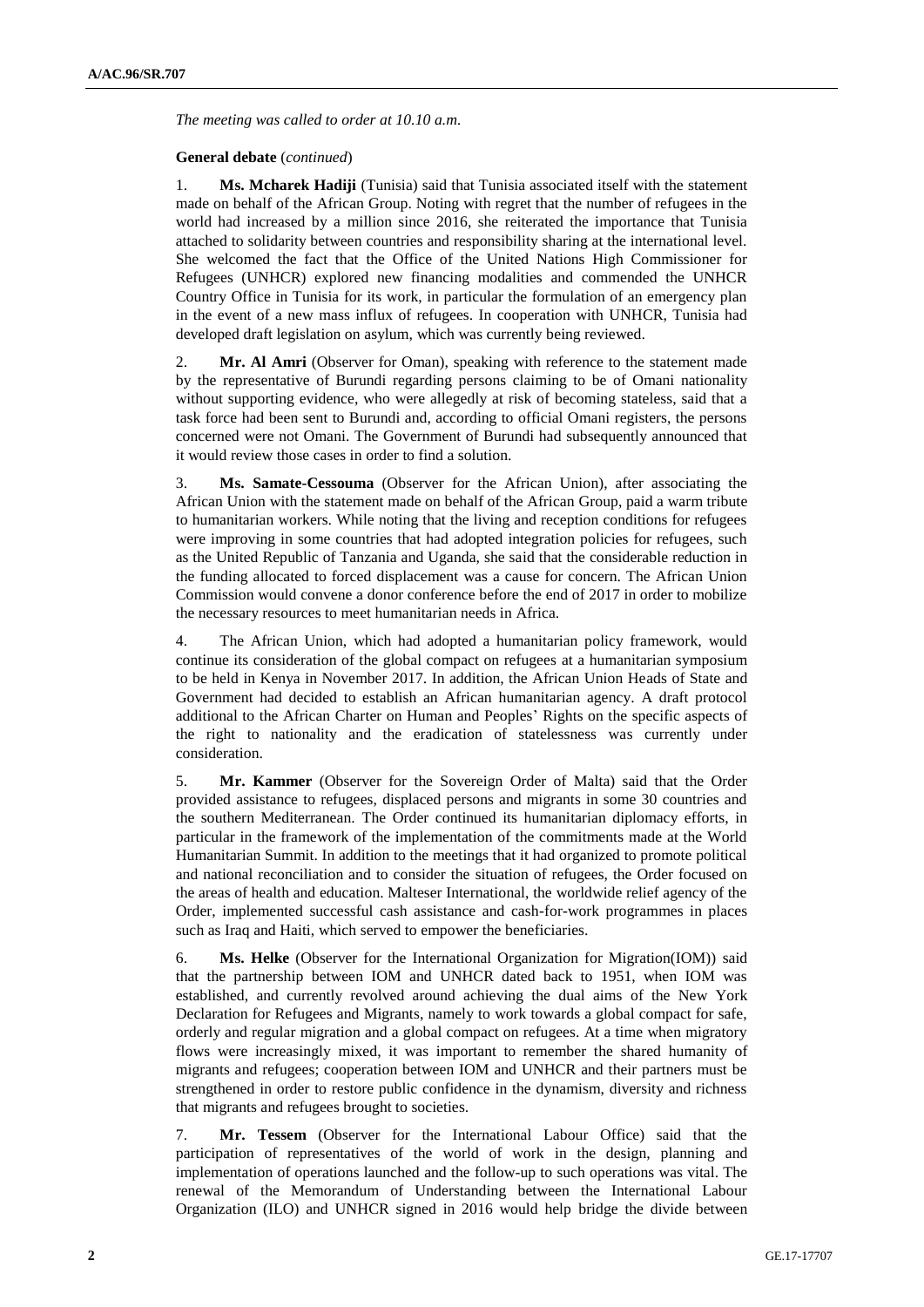*The meeting was called to order at 10.10 a.m.*

### **General debate** (*continued*)

1. **Ms. Mcharek Hadiji** (Tunisia) said that Tunisia associated itself with the statement made on behalf of the African Group. Noting with regret that the number of refugees in the world had increased by a million since 2016, she reiterated the importance that Tunisia attached to solidarity between countries and responsibility sharing at the international level. She welcomed the fact that the Office of the United Nations High Commissioner for Refugees (UNHCR) explored new financing modalities and commended the UNHCR Country Office in Tunisia for its work, in particular the formulation of an emergency plan in the event of a new mass influx of refugees. In cooperation with UNHCR, Tunisia had developed draft legislation on asylum, which was currently being reviewed.

2. **Mr. Al Amri** (Observer for Oman), speaking with reference to the statement made by the representative of Burundi regarding persons claiming to be of Omani nationality without supporting evidence, who were allegedly at risk of becoming stateless, said that a task force had been sent to Burundi and, according to official Omani registers, the persons concerned were not Omani. The Government of Burundi had subsequently announced that it would review those cases in order to find a solution.

3. **Ms. Samate-Cessouma** (Observer for the African Union), after associating the African Union with the statement made on behalf of the African Group, paid a warm tribute to humanitarian workers. While noting that the living and reception conditions for refugees were improving in some countries that had adopted integration policies for refugees, such as the United Republic of Tanzania and Uganda, she said that the considerable reduction in the funding allocated to forced displacement was a cause for concern. The African Union Commission would convene a donor conference before the end of 2017 in order to mobilize the necessary resources to meet humanitarian needs in Africa.

4. The African Union, which had adopted a humanitarian policy framework, would continue its consideration of the global compact on refugees at a humanitarian symposium to be held in Kenya in November 2017. In addition, the African Union Heads of State and Government had decided to establish an African humanitarian agency. A draft protocol additional to the African Charter on Human and Peoples' Rights on the specific aspects of the right to nationality and the eradication of statelessness was currently under consideration.

5. **Mr. Kammer** (Observer for the Sovereign Order of Malta) said that the Order provided assistance to refugees, displaced persons and migrants in some 30 countries and the southern Mediterranean. The Order continued its humanitarian diplomacy efforts, in particular in the framework of the implementation of the commitments made at the World Humanitarian Summit. In addition to the meetings that it had organized to promote political and national reconciliation and to consider the situation of refugees, the Order focused on the areas of health and education. Malteser International, the worldwide relief agency of the Order, implemented successful cash assistance and cash-for-work programmes in places such as Iraq and Haiti, which served to empower the beneficiaries.

6. **Ms. Helke** (Observer for the International Organization for Migration(IOM)) said that the partnership between IOM and UNHCR dated back to 1951, when IOM was established, and currently revolved around achieving the dual aims of the New York Declaration for Refugees and Migrants, namely to work towards a global compact for safe, orderly and regular migration and a global compact on refugees. At a time when migratory flows were increasingly mixed, it was important to remember the shared humanity of migrants and refugees; cooperation between IOM and UNHCR and their partners must be strengthened in order to restore public confidence in the dynamism, diversity and richness that migrants and refugees brought to societies.

7. **Mr. Tessem** (Observer for the International Labour Office) said that the participation of representatives of the world of work in the design, planning and implementation of operations launched and the follow-up to such operations was vital. The renewal of the Memorandum of Understanding between the International Labour Organization (ILO) and UNHCR signed in 2016 would help bridge the divide between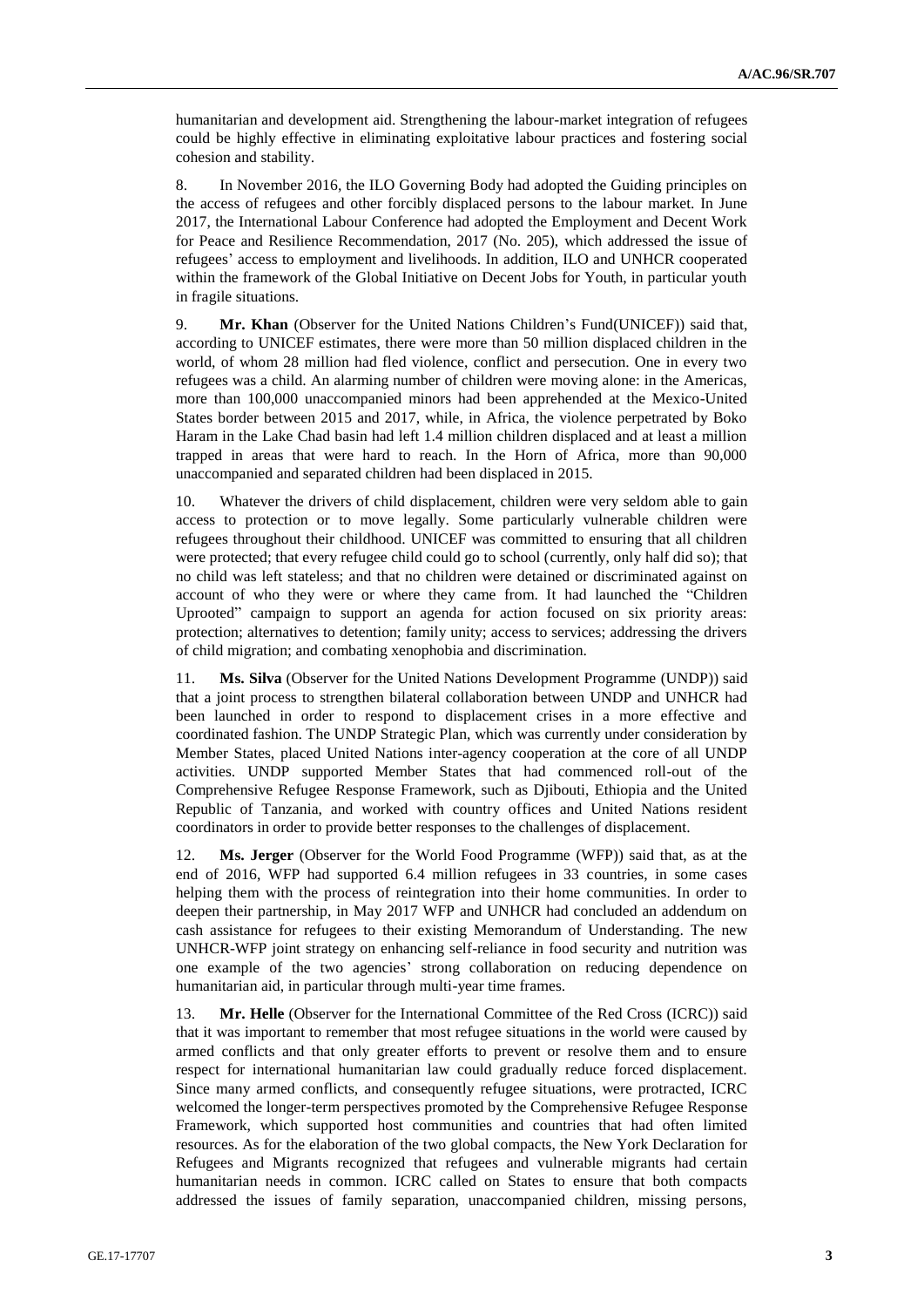humanitarian and development aid. Strengthening the labour-market integration of refugees could be highly effective in eliminating exploitative labour practices and fostering social cohesion and stability.

8. In November 2016, the ILO Governing Body had adopted the Guiding principles on the access of refugees and other forcibly displaced persons to the labour market. In June 2017, the International Labour Conference had adopted the Employment and Decent Work for Peace and Resilience Recommendation, 2017 (No. 205), which addressed the issue of refugees' access to employment and livelihoods. In addition, ILO and UNHCR cooperated within the framework of the Global Initiative on Decent Jobs for Youth, in particular youth in fragile situations.

9. **Mr. Khan** (Observer for the United Nations Children's Fund(UNICEF)) said that, according to UNICEF estimates, there were more than 50 million displaced children in the world, of whom 28 million had fled violence, conflict and persecution. One in every two refugees was a child. An alarming number of children were moving alone: in the Americas, more than 100,000 unaccompanied minors had been apprehended at the Mexico-United States border between 2015 and 2017, while, in Africa, the violence perpetrated by Boko Haram in the Lake Chad basin had left 1.4 million children displaced and at least a million trapped in areas that were hard to reach. In the Horn of Africa, more than 90,000 unaccompanied and separated children had been displaced in 2015.

10. Whatever the drivers of child displacement, children were very seldom able to gain access to protection or to move legally. Some particularly vulnerable children were refugees throughout their childhood. UNICEF was committed to ensuring that all children were protected; that every refugee child could go to school (currently, only half did so); that no child was left stateless; and that no children were detained or discriminated against on account of who they were or where they came from. It had launched the "Children Uprooted" campaign to support an agenda for action focused on six priority areas: protection; alternatives to detention; family unity; access to services; addressing the drivers of child migration; and combating xenophobia and discrimination.

11. **Ms. Silva** (Observer for the United Nations Development Programme (UNDP)) said that a joint process to strengthen bilateral collaboration between UNDP and UNHCR had been launched in order to respond to displacement crises in a more effective and coordinated fashion. The UNDP Strategic Plan, which was currently under consideration by Member States, placed United Nations inter-agency cooperation at the core of all UNDP activities. UNDP supported Member States that had commenced roll-out of the Comprehensive Refugee Response Framework, such as Djibouti, Ethiopia and the United Republic of Tanzania, and worked with country offices and United Nations resident coordinators in order to provide better responses to the challenges of displacement.

12. **Ms. Jerger** (Observer for the World Food Programme (WFP)) said that, as at the end of 2016, WFP had supported 6.4 million refugees in 33 countries, in some cases helping them with the process of reintegration into their home communities. In order to deepen their partnership, in May 2017 WFP and UNHCR had concluded an addendum on cash assistance for refugees to their existing Memorandum of Understanding. The new UNHCR-WFP joint strategy on enhancing self-reliance in food security and nutrition was one example of the two agencies' strong collaboration on reducing dependence on humanitarian aid, in particular through multi-year time frames.

13. **Mr. Helle** (Observer for the International Committee of the Red Cross (ICRC)) said that it was important to remember that most refugee situations in the world were caused by armed conflicts and that only greater efforts to prevent or resolve them and to ensure respect for international humanitarian law could gradually reduce forced displacement. Since many armed conflicts, and consequently refugee situations, were protracted, ICRC welcomed the longer-term perspectives promoted by the Comprehensive Refugee Response Framework, which supported host communities and countries that had often limited resources. As for the elaboration of the two global compacts, the New York Declaration for Refugees and Migrants recognized that refugees and vulnerable migrants had certain humanitarian needs in common. ICRC called on States to ensure that both compacts addressed the issues of family separation, unaccompanied children, missing persons,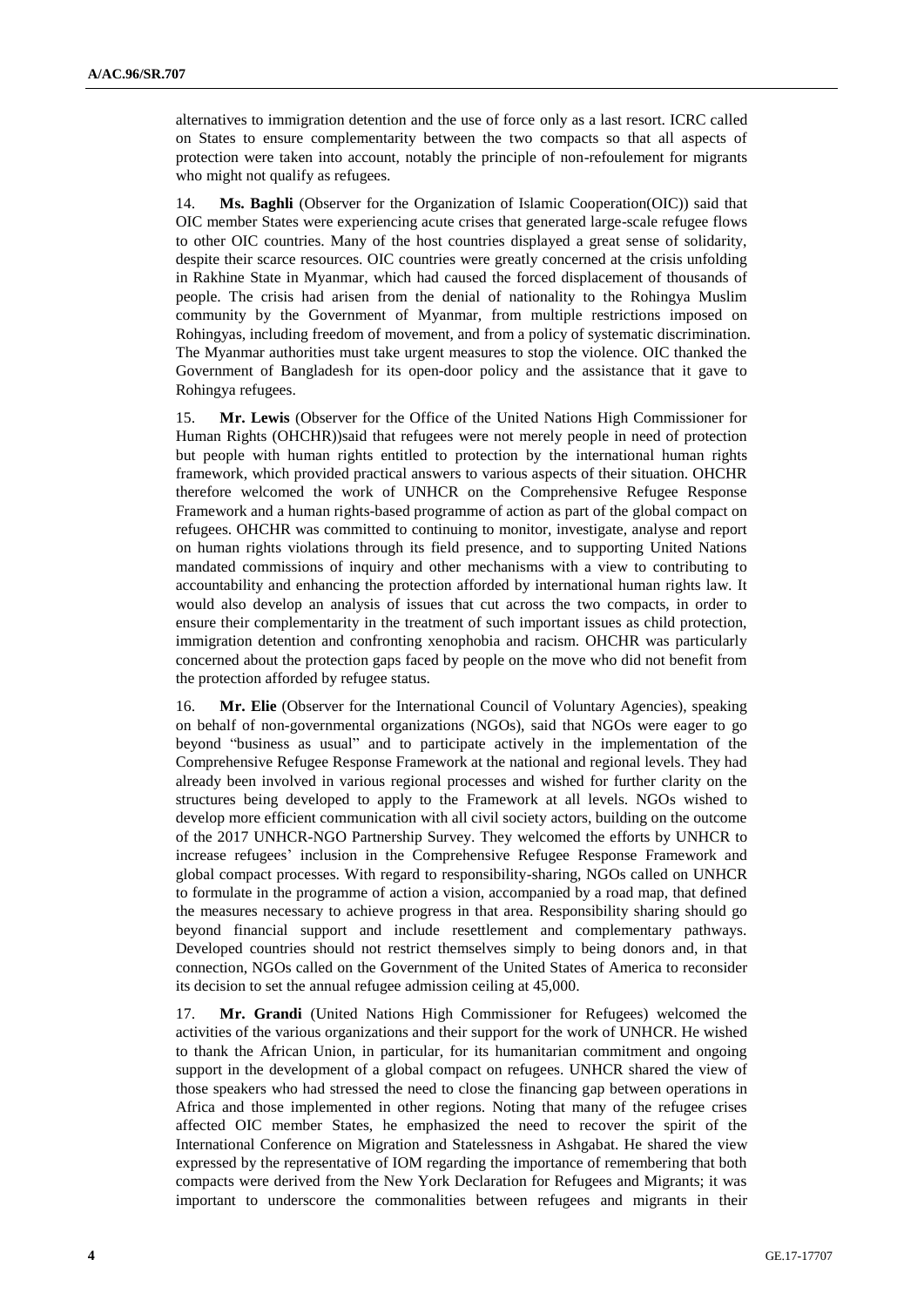alternatives to immigration detention and the use of force only as a last resort. ICRC called on States to ensure complementarity between the two compacts so that all aspects of protection were taken into account, notably the principle of non-refoulement for migrants who might not qualify as refugees.

14. **Ms. Baghli** (Observer for the Organization of Islamic Cooperation(OIC)) said that OIC member States were experiencing acute crises that generated large-scale refugee flows to other OIC countries. Many of the host countries displayed a great sense of solidarity, despite their scarce resources. OIC countries were greatly concerned at the crisis unfolding in Rakhine State in Myanmar, which had caused the forced displacement of thousands of people. The crisis had arisen from the denial of nationality to the Rohingya Muslim community by the Government of Myanmar, from multiple restrictions imposed on Rohingyas, including freedom of movement, and from a policy of systematic discrimination. The Myanmar authorities must take urgent measures to stop the violence. OIC thanked the Government of Bangladesh for its open-door policy and the assistance that it gave to Rohingya refugees.

15. **Mr. Lewis** (Observer for the Office of the United Nations High Commissioner for Human Rights (OHCHR))said that refugees were not merely people in need of protection but people with human rights entitled to protection by the international human rights framework, which provided practical answers to various aspects of their situation. OHCHR therefore welcomed the work of UNHCR on the Comprehensive Refugee Response Framework and a human rights-based programme of action as part of the global compact on refugees. OHCHR was committed to continuing to monitor, investigate, analyse and report on human rights violations through its field presence, and to supporting United Nations mandated commissions of inquiry and other mechanisms with a view to contributing to accountability and enhancing the protection afforded by international human rights law. It would also develop an analysis of issues that cut across the two compacts, in order to ensure their complementarity in the treatment of such important issues as child protection, immigration detention and confronting xenophobia and racism. OHCHR was particularly concerned about the protection gaps faced by people on the move who did not benefit from the protection afforded by refugee status.

16. **Mr. Elie** (Observer for the International Council of Voluntary Agencies), speaking on behalf of non-governmental organizations (NGOs), said that NGOs were eager to go beyond "business as usual" and to participate actively in the implementation of the Comprehensive Refugee Response Framework at the national and regional levels. They had already been involved in various regional processes and wished for further clarity on the structures being developed to apply to the Framework at all levels. NGOs wished to develop more efficient communication with all civil society actors, building on the outcome of the 2017 UNHCR-NGO Partnership Survey. They welcomed the efforts by UNHCR to increase refugees' inclusion in the Comprehensive Refugee Response Framework and global compact processes. With regard to responsibility-sharing, NGOs called on UNHCR to formulate in the programme of action a vision, accompanied by a road map, that defined the measures necessary to achieve progress in that area. Responsibility sharing should go beyond financial support and include resettlement and complementary pathways. Developed countries should not restrict themselves simply to being donors and, in that connection, NGOs called on the Government of the United States of America to reconsider its decision to set the annual refugee admission ceiling at 45,000.

17. **Mr. Grandi** (United Nations High Commissioner for Refugees) welcomed the activities of the various organizations and their support for the work of UNHCR. He wished to thank the African Union, in particular, for its humanitarian commitment and ongoing support in the development of a global compact on refugees. UNHCR shared the view of those speakers who had stressed the need to close the financing gap between operations in Africa and those implemented in other regions. Noting that many of the refugee crises affected OIC member States, he emphasized the need to recover the spirit of the International Conference on Migration and Statelessness in Ashgabat. He shared the view expressed by the representative of IOM regarding the importance of remembering that both compacts were derived from the New York Declaration for Refugees and Migrants; it was important to underscore the commonalities between refugees and migrants in their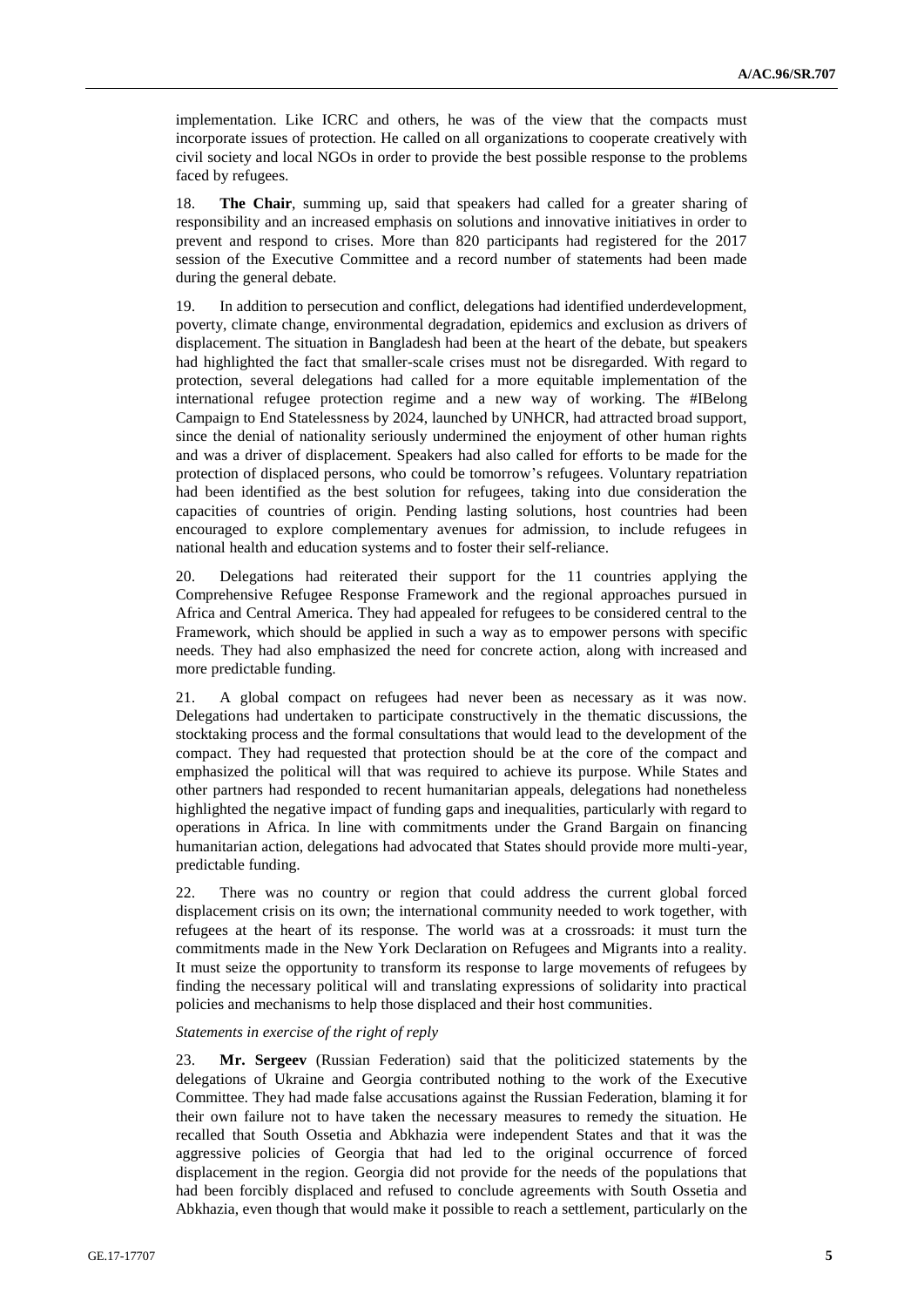implementation. Like ICRC and others, he was of the view that the compacts must incorporate issues of protection. He called on all organizations to cooperate creatively with civil society and local NGOs in order to provide the best possible response to the problems faced by refugees.

18. **The Chair**, summing up, said that speakers had called for a greater sharing of responsibility and an increased emphasis on solutions and innovative initiatives in order to prevent and respond to crises. More than 820 participants had registered for the 2017 session of the Executive Committee and a record number of statements had been made during the general debate.

19. In addition to persecution and conflict, delegations had identified underdevelopment, poverty, climate change, environmental degradation, epidemics and exclusion as drivers of displacement. The situation in Bangladesh had been at the heart of the debate, but speakers had highlighted the fact that smaller-scale crises must not be disregarded. With regard to protection, several delegations had called for a more equitable implementation of the international refugee protection regime and a new way of working. The #IBelong Campaign to End Statelessness by 2024, launched by UNHCR, had attracted broad support, since the denial of nationality seriously undermined the enjoyment of other human rights and was a driver of displacement. Speakers had also called for efforts to be made for the protection of displaced persons, who could be tomorrow's refugees. Voluntary repatriation had been identified as the best solution for refugees, taking into due consideration the capacities of countries of origin. Pending lasting solutions, host countries had been encouraged to explore complementary avenues for admission, to include refugees in national health and education systems and to foster their self-reliance.

20. Delegations had reiterated their support for the 11 countries applying the Comprehensive Refugee Response Framework and the regional approaches pursued in Africa and Central America. They had appealed for refugees to be considered central to the Framework, which should be applied in such a way as to empower persons with specific needs. They had also emphasized the need for concrete action, along with increased and more predictable funding.

21. A global compact on refugees had never been as necessary as it was now. Delegations had undertaken to participate constructively in the thematic discussions, the stocktaking process and the formal consultations that would lead to the development of the compact. They had requested that protection should be at the core of the compact and emphasized the political will that was required to achieve its purpose. While States and other partners had responded to recent humanitarian appeals, delegations had nonetheless highlighted the negative impact of funding gaps and inequalities, particularly with regard to operations in Africa. In line with commitments under the Grand Bargain on financing humanitarian action, delegations had advocated that States should provide more multi-year, predictable funding.

22. There was no country or region that could address the current global forced displacement crisis on its own; the international community needed to work together, with refugees at the heart of its response. The world was at a crossroads: it must turn the commitments made in the New York Declaration on Refugees and Migrants into a reality. It must seize the opportunity to transform its response to large movements of refugees by finding the necessary political will and translating expressions of solidarity into practical policies and mechanisms to help those displaced and their host communities.

### *Statements in exercise of the right of reply*

23. **Mr. Sergeev** (Russian Federation) said that the politicized statements by the delegations of Ukraine and Georgia contributed nothing to the work of the Executive Committee. They had made false accusations against the Russian Federation, blaming it for their own failure not to have taken the necessary measures to remedy the situation. He recalled that South Ossetia and Abkhazia were independent States and that it was the aggressive policies of Georgia that had led to the original occurrence of forced displacement in the region. Georgia did not provide for the needs of the populations that had been forcibly displaced and refused to conclude agreements with South Ossetia and Abkhazia, even though that would make it possible to reach a settlement, particularly on the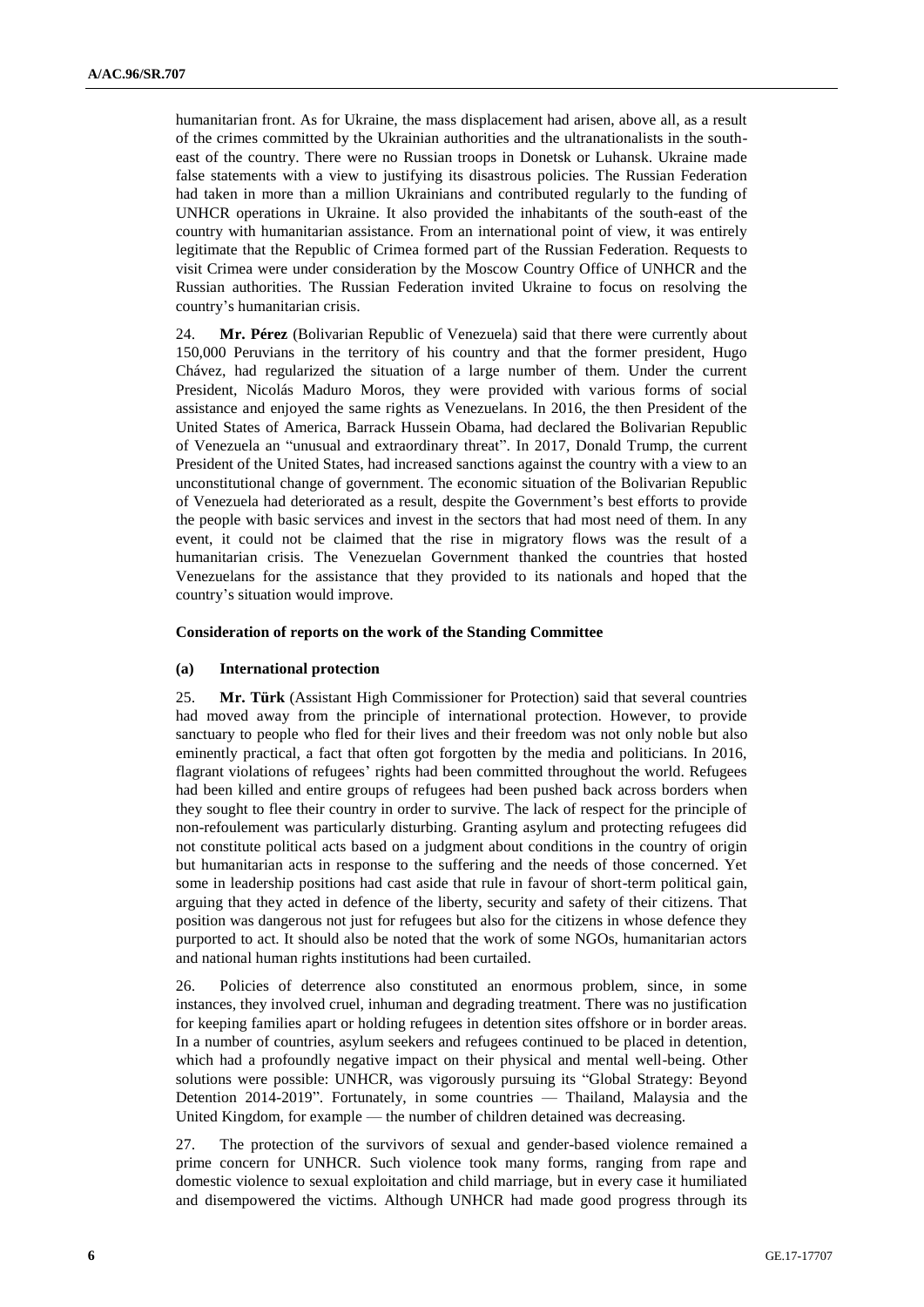humanitarian front. As for Ukraine, the mass displacement had arisen, above all, as a result of the crimes committed by the Ukrainian authorities and the ultranationalists in the southeast of the country. There were no Russian troops in Donetsk or Luhansk. Ukraine made false statements with a view to justifying its disastrous policies. The Russian Federation had taken in more than a million Ukrainians and contributed regularly to the funding of UNHCR operations in Ukraine. It also provided the inhabitants of the south-east of the country with humanitarian assistance. From an international point of view, it was entirely legitimate that the Republic of Crimea formed part of the Russian Federation. Requests to visit Crimea were under consideration by the Moscow Country Office of UNHCR and the Russian authorities. The Russian Federation invited Ukraine to focus on resolving the country's humanitarian crisis.

24. **Mr. Pérez** (Bolivarian Republic of Venezuela) said that there were currently about 150,000 Peruvians in the territory of his country and that the former president, Hugo Chávez, had regularized the situation of a large number of them. Under the current President, Nicolás Maduro Moros, they were provided with various forms of social assistance and enjoyed the same rights as Venezuelans. In 2016, the then President of the United States of America, Barrack Hussein Obama, had declared the Bolivarian Republic of Venezuela an "unusual and extraordinary threat". In 2017, Donald Trump, the current President of the United States, had increased sanctions against the country with a view to an unconstitutional change of government. The economic situation of the Bolivarian Republic of Venezuela had deteriorated as a result, despite the Government's best efforts to provide the people with basic services and invest in the sectors that had most need of them. In any event, it could not be claimed that the rise in migratory flows was the result of a humanitarian crisis. The Venezuelan Government thanked the countries that hosted Venezuelans for the assistance that they provided to its nationals and hoped that the country's situation would improve.

#### **Consideration of reports on the work of the Standing Committee**

#### **(a) International protection**

25. **Mr. Türk** (Assistant High Commissioner for Protection) said that several countries had moved away from the principle of international protection. However, to provide sanctuary to people who fled for their lives and their freedom was not only noble but also eminently practical, a fact that often got forgotten by the media and politicians. In 2016, flagrant violations of refugees' rights had been committed throughout the world. Refugees had been killed and entire groups of refugees had been pushed back across borders when they sought to flee their country in order to survive. The lack of respect for the principle of non-refoulement was particularly disturbing. Granting asylum and protecting refugees did not constitute political acts based on a judgment about conditions in the country of origin but humanitarian acts in response to the suffering and the needs of those concerned. Yet some in leadership positions had cast aside that rule in favour of short-term political gain, arguing that they acted in defence of the liberty, security and safety of their citizens. That position was dangerous not just for refugees but also for the citizens in whose defence they purported to act. It should also be noted that the work of some NGOs, humanitarian actors and national human rights institutions had been curtailed.

26. Policies of deterrence also constituted an enormous problem, since, in some instances, they involved cruel, inhuman and degrading treatment. There was no justification for keeping families apart or holding refugees in detention sites offshore or in border areas. In a number of countries, asylum seekers and refugees continued to be placed in detention, which had a profoundly negative impact on their physical and mental well-being. Other solutions were possible: UNHCR, was vigorously pursuing its "Global Strategy: Beyond Detention 2014-2019". Fortunately, in some countries — Thailand, Malaysia and the United Kingdom, for example — the number of children detained was decreasing.

27. The protection of the survivors of sexual and gender-based violence remained a prime concern for UNHCR. Such violence took many forms, ranging from rape and domestic violence to sexual exploitation and child marriage, but in every case it humiliated and disempowered the victims. Although UNHCR had made good progress through its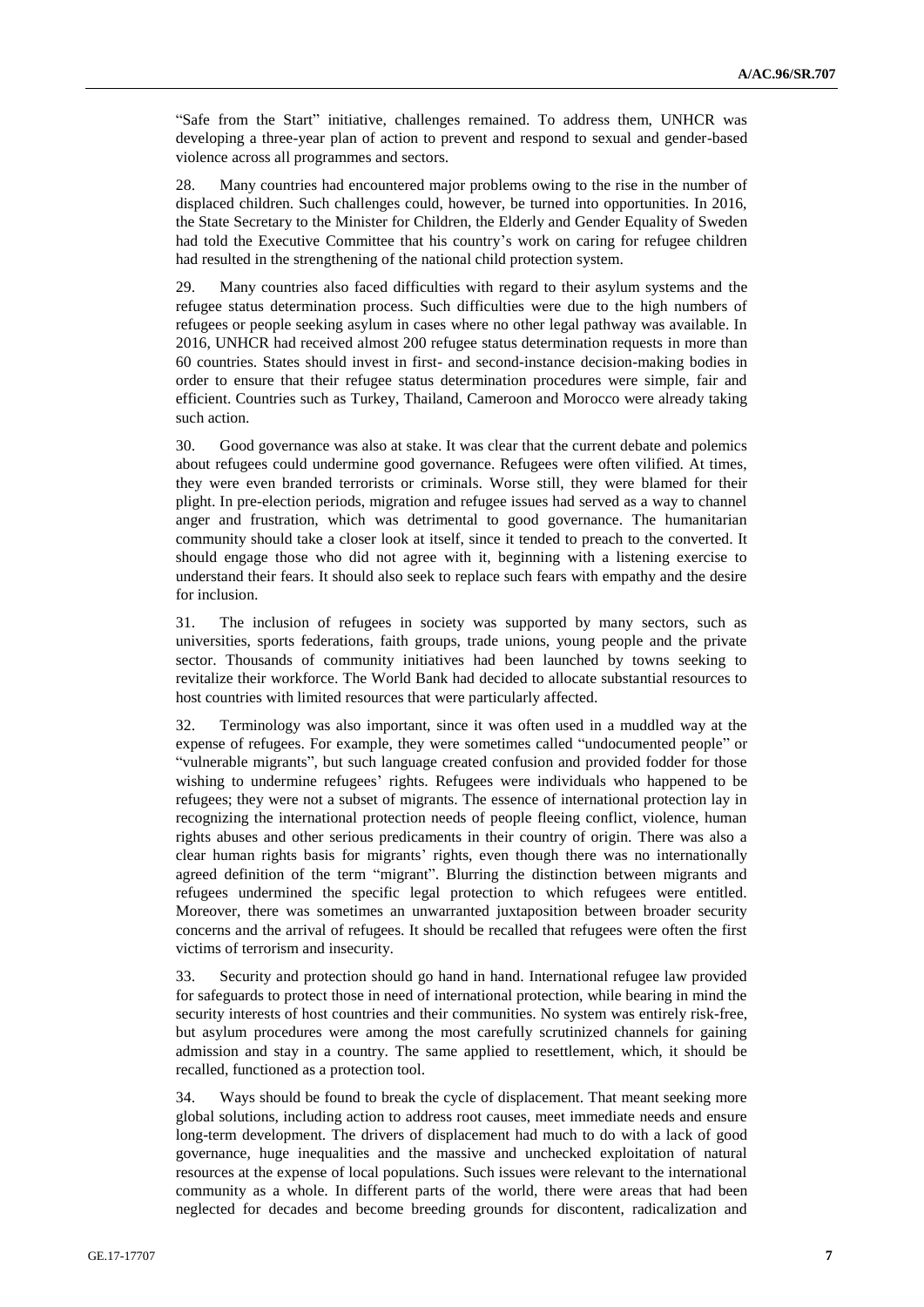"Safe from the Start" initiative, challenges remained. To address them, UNHCR was developing a three-year plan of action to prevent and respond to sexual and gender-based violence across all programmes and sectors.

28. Many countries had encountered major problems owing to the rise in the number of displaced children. Such challenges could, however, be turned into opportunities. In 2016, the State Secretary to the Minister for Children, the Elderly and Gender Equality of Sweden had told the Executive Committee that his country's work on caring for refugee children had resulted in the strengthening of the national child protection system.

29. Many countries also faced difficulties with regard to their asylum systems and the refugee status determination process. Such difficulties were due to the high numbers of refugees or people seeking asylum in cases where no other legal pathway was available. In 2016, UNHCR had received almost 200 refugee status determination requests in more than 60 countries. States should invest in first- and second-instance decision-making bodies in order to ensure that their refugee status determination procedures were simple, fair and efficient. Countries such as Turkey, Thailand, Cameroon and Morocco were already taking such action.

30. Good governance was also at stake. It was clear that the current debate and polemics about refugees could undermine good governance. Refugees were often vilified. At times, they were even branded terrorists or criminals. Worse still, they were blamed for their plight. In pre-election periods, migration and refugee issues had served as a way to channel anger and frustration, which was detrimental to good governance. The humanitarian community should take a closer look at itself, since it tended to preach to the converted. It should engage those who did not agree with it, beginning with a listening exercise to understand their fears. It should also seek to replace such fears with empathy and the desire for inclusion.

31. The inclusion of refugees in society was supported by many sectors, such as universities, sports federations, faith groups, trade unions, young people and the private sector. Thousands of community initiatives had been launched by towns seeking to revitalize their workforce. The World Bank had decided to allocate substantial resources to host countries with limited resources that were particularly affected.

32. Terminology was also important, since it was often used in a muddled way at the expense of refugees. For example, they were sometimes called "undocumented people" or "vulnerable migrants", but such language created confusion and provided fodder for those wishing to undermine refugees' rights. Refugees were individuals who happened to be refugees; they were not a subset of migrants. The essence of international protection lay in recognizing the international protection needs of people fleeing conflict, violence, human rights abuses and other serious predicaments in their country of origin. There was also a clear human rights basis for migrants' rights, even though there was no internationally agreed definition of the term "migrant". Blurring the distinction between migrants and refugees undermined the specific legal protection to which refugees were entitled. Moreover, there was sometimes an unwarranted juxtaposition between broader security concerns and the arrival of refugees. It should be recalled that refugees were often the first victims of terrorism and insecurity.

33. Security and protection should go hand in hand. International refugee law provided for safeguards to protect those in need of international protection, while bearing in mind the security interests of host countries and their communities. No system was entirely risk-free, but asylum procedures were among the most carefully scrutinized channels for gaining admission and stay in a country. The same applied to resettlement, which, it should be recalled, functioned as a protection tool.

34. Ways should be found to break the cycle of displacement. That meant seeking more global solutions, including action to address root causes, meet immediate needs and ensure long-term development. The drivers of displacement had much to do with a lack of good governance, huge inequalities and the massive and unchecked exploitation of natural resources at the expense of local populations. Such issues were relevant to the international community as a whole. In different parts of the world, there were areas that had been neglected for decades and become breeding grounds for discontent, radicalization and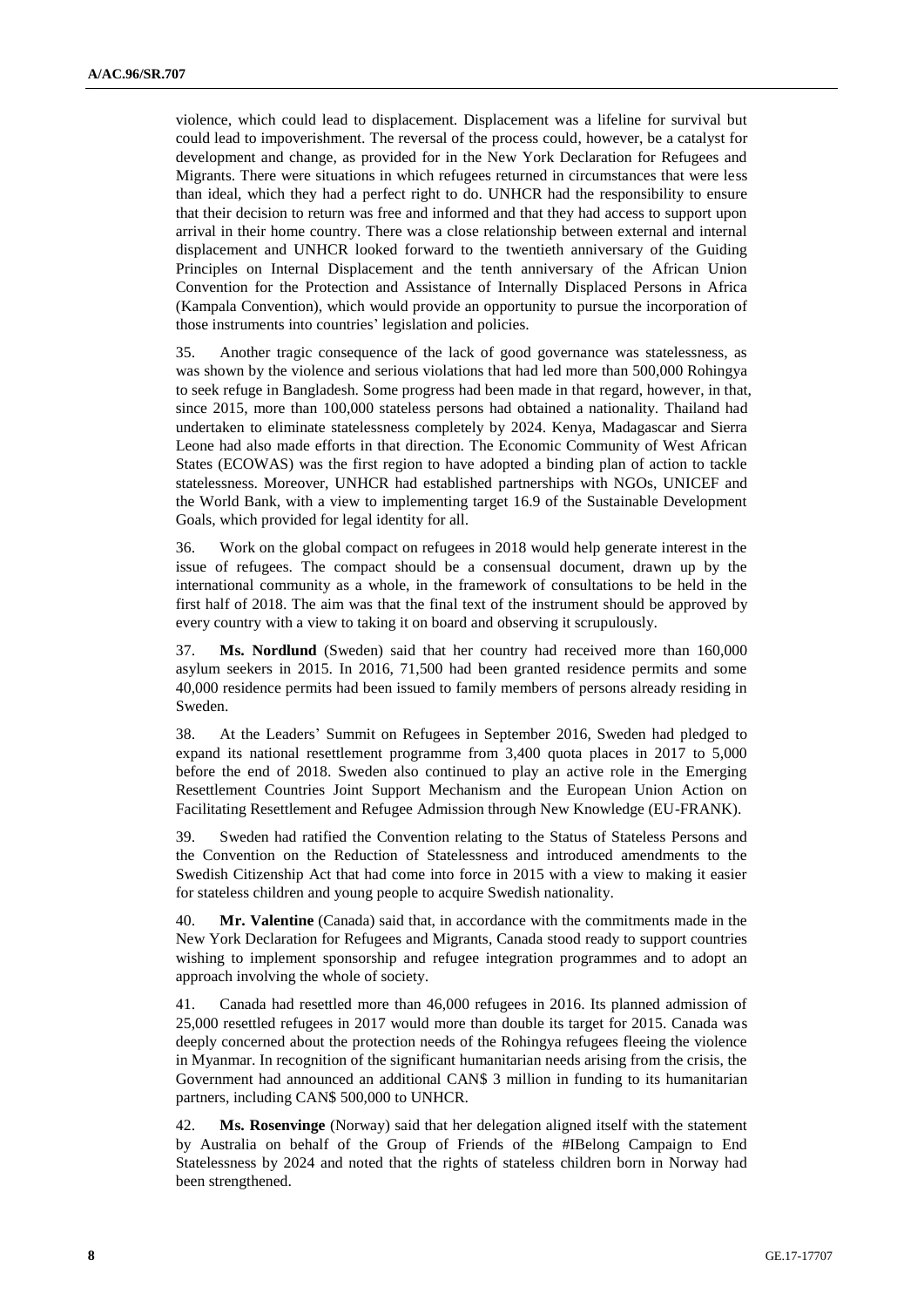violence, which could lead to displacement. Displacement was a lifeline for survival but could lead to impoverishment. The reversal of the process could, however, be a catalyst for development and change, as provided for in the New York Declaration for Refugees and Migrants. There were situations in which refugees returned in circumstances that were less than ideal, which they had a perfect right to do. UNHCR had the responsibility to ensure that their decision to return was free and informed and that they had access to support upon arrival in their home country. There was a close relationship between external and internal displacement and UNHCR looked forward to the twentieth anniversary of the Guiding Principles on Internal Displacement and the tenth anniversary of the African Union Convention for the Protection and Assistance of Internally Displaced Persons in Africa (Kampala Convention), which would provide an opportunity to pursue the incorporation of those instruments into countries' legislation and policies.

35. Another tragic consequence of the lack of good governance was statelessness, as was shown by the violence and serious violations that had led more than 500,000 Rohingya to seek refuge in Bangladesh. Some progress had been made in that regard, however, in that, since 2015, more than 100,000 stateless persons had obtained a nationality. Thailand had undertaken to eliminate statelessness completely by 2024. Kenya, Madagascar and Sierra Leone had also made efforts in that direction. The Economic Community of West African States (ECOWAS) was the first region to have adopted a binding plan of action to tackle statelessness. Moreover, UNHCR had established partnerships with NGOs, UNICEF and the World Bank, with a view to implementing target 16.9 of the Sustainable Development Goals, which provided for legal identity for all.

36. Work on the global compact on refugees in 2018 would help generate interest in the issue of refugees. The compact should be a consensual document, drawn up by the international community as a whole, in the framework of consultations to be held in the first half of 2018. The aim was that the final text of the instrument should be approved by every country with a view to taking it on board and observing it scrupulously.

37. **Ms. Nordlund** (Sweden) said that her country had received more than 160,000 asylum seekers in 2015. In 2016, 71,500 had been granted residence permits and some 40,000 residence permits had been issued to family members of persons already residing in Sweden.

38. At the Leaders' Summit on Refugees in September 2016, Sweden had pledged to expand its national resettlement programme from 3,400 quota places in 2017 to 5,000 before the end of 2018. Sweden also continued to play an active role in the Emerging Resettlement Countries Joint Support Mechanism and the European Union Action on Facilitating Resettlement and Refugee Admission through New Knowledge (EU-FRANK).

39. Sweden had ratified the Convention relating to the Status of Stateless Persons and the Convention on the Reduction of Statelessness and introduced amendments to the Swedish Citizenship Act that had come into force in 2015 with a view to making it easier for stateless children and young people to acquire Swedish nationality.

40. **Mr. Valentine** (Canada) said that, in accordance with the commitments made in the New York Declaration for Refugees and Migrants, Canada stood ready to support countries wishing to implement sponsorship and refugee integration programmes and to adopt an approach involving the whole of society.

41. Canada had resettled more than 46,000 refugees in 2016. Its planned admission of 25,000 resettled refugees in 2017 would more than double its target for 2015. Canada was deeply concerned about the protection needs of the Rohingya refugees fleeing the violence in Myanmar. In recognition of the significant humanitarian needs arising from the crisis, the Government had announced an additional CAN\$ 3 million in funding to its humanitarian partners, including CAN\$ 500,000 to UNHCR.

42. **Ms. Rosenvinge** (Norway) said that her delegation aligned itself with the statement by Australia on behalf of the Group of Friends of the #IBelong Campaign to End Statelessness by 2024 and noted that the rights of stateless children born in Norway had been strengthened.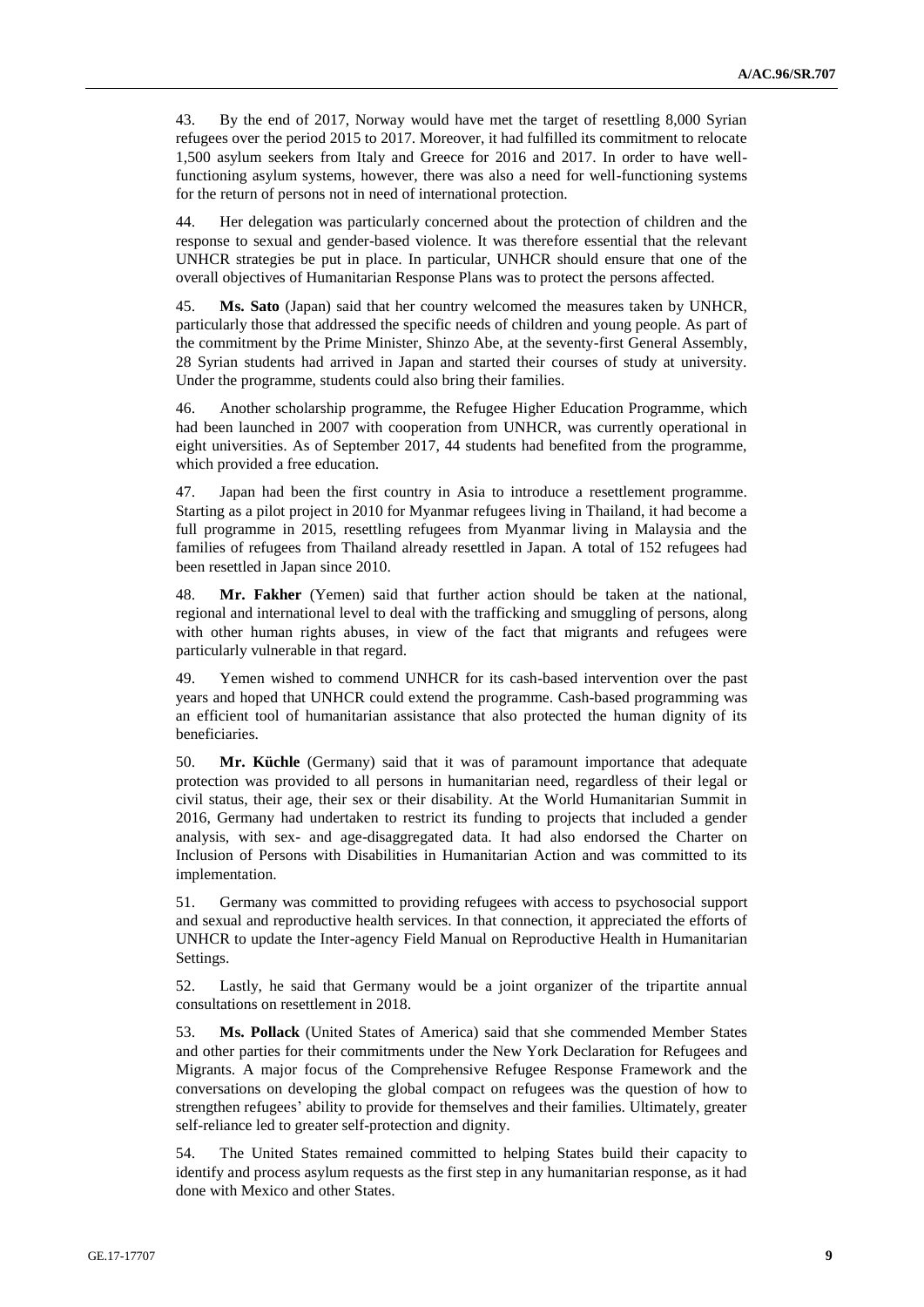43. By the end of 2017, Norway would have met the target of resettling 8,000 Syrian refugees over the period 2015 to 2017. Moreover, it had fulfilled its commitment to relocate 1,500 asylum seekers from Italy and Greece for 2016 and 2017. In order to have wellfunctioning asylum systems, however, there was also a need for well-functioning systems for the return of persons not in need of international protection.

44. Her delegation was particularly concerned about the protection of children and the response to sexual and gender-based violence. It was therefore essential that the relevant UNHCR strategies be put in place. In particular, UNHCR should ensure that one of the overall objectives of Humanitarian Response Plans was to protect the persons affected.

45. **Ms. Sato** (Japan) said that her country welcomed the measures taken by UNHCR, particularly those that addressed the specific needs of children and young people. As part of the commitment by the Prime Minister, Shinzo Abe, at the seventy-first General Assembly, 28 Syrian students had arrived in Japan and started their courses of study at university. Under the programme, students could also bring their families.

46. Another scholarship programme, the Refugee Higher Education Programme, which had been launched in 2007 with cooperation from UNHCR, was currently operational in eight universities. As of September 2017, 44 students had benefited from the programme, which provided a free education.

47. Japan had been the first country in Asia to introduce a resettlement programme. Starting as a pilot project in 2010 for Myanmar refugees living in Thailand, it had become a full programme in 2015, resettling refugees from Myanmar living in Malaysia and the families of refugees from Thailand already resettled in Japan. A total of 152 refugees had been resettled in Japan since 2010.

48. **Mr. Fakher** (Yemen) said that further action should be taken at the national, regional and international level to deal with the trafficking and smuggling of persons, along with other human rights abuses, in view of the fact that migrants and refugees were particularly vulnerable in that regard.

49. Yemen wished to commend UNHCR for its cash-based intervention over the past years and hoped that UNHCR could extend the programme. Cash-based programming was an efficient tool of humanitarian assistance that also protected the human dignity of its beneficiaries.

50. **Mr. Küchle** (Germany) said that it was of paramount importance that adequate protection was provided to all persons in humanitarian need, regardless of their legal or civil status, their age, their sex or their disability. At the World Humanitarian Summit in 2016, Germany had undertaken to restrict its funding to projects that included a gender analysis, with sex- and age-disaggregated data. It had also endorsed the Charter on Inclusion of Persons with Disabilities in Humanitarian Action and was committed to its implementation.

51. Germany was committed to providing refugees with access to psychosocial support and sexual and reproductive health services. In that connection, it appreciated the efforts of UNHCR to update the Inter-agency Field Manual on Reproductive Health in Humanitarian Settings.

52. Lastly, he said that Germany would be a joint organizer of the tripartite annual consultations on resettlement in 2018.

53. **Ms. Pollack** (United States of America) said that she commended Member States and other parties for their commitments under the New York Declaration for Refugees and Migrants. A major focus of the Comprehensive Refugee Response Framework and the conversations on developing the global compact on refugees was the question of how to strengthen refugees' ability to provide for themselves and their families. Ultimately, greater self-reliance led to greater self-protection and dignity.

54. The United States remained committed to helping States build their capacity to identify and process asylum requests as the first step in any humanitarian response, as it had done with Mexico and other States.